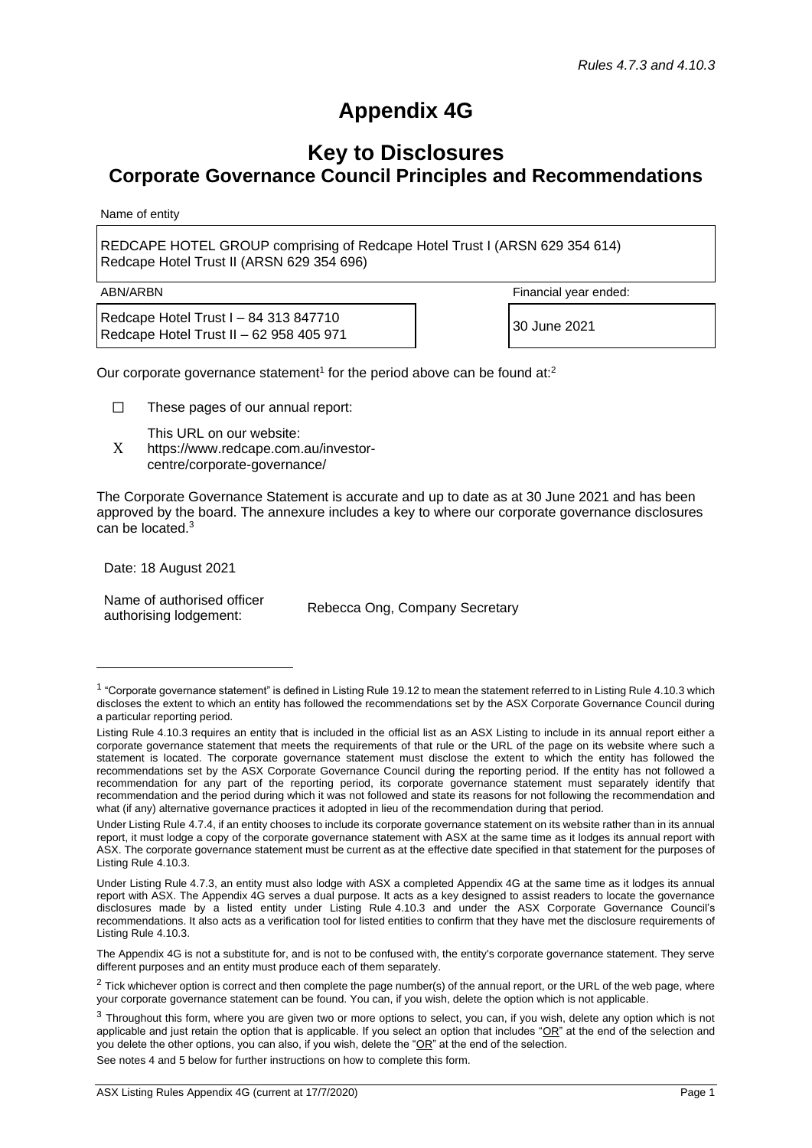## **Appendix 4G**

## **Key to Disclosures Corporate Governance Council Principles and Recommendations**

Name of entity

REDCAPE HOTEL GROUP comprising of Redcape Hotel Trust I (ARSN 629 354 614) Redcape Hotel Trust II (ARSN 629 354 696)

Redcape Hotel Trust I – 84 313 847710 Redcape Hotel Trust  $I = 64, 515, 647, 16$ <br>Redcape Hotel Trust II – 62 958 405 971

ABN/ARBN Financial year ended:

Our corporate governance statement<sup>1</sup> for the period above can be found at:<sup>2</sup>

☐ These pages of our annual report:

This URL on our website:

X https://www.redcape.com.au/investorcentre/corporate-governance/

The Corporate Governance Statement is accurate and up to date as at 30 June 2021 and has been approved by the board. The annexure includes a key to where our corporate governance disclosures can be located.<sup>3</sup>

Date: 18 August 2021

Name of authorised officer Indire of authorised officer<br>authorising lodgement:<br>Rebecca Ong, Company Secretary

See notes 4 and 5 below for further instructions on how to complete this form.

<sup>&</sup>lt;sup>1</sup> "Corporate governance statement" is defined in Listing Rule 19.12 to mean the statement referred to in Listing Rule 4.10.3 which discloses the extent to which an entity has followed the recommendations set by the ASX Corporate Governance Council during a particular reporting period.

Listing Rule 4.10.3 requires an entity that is included in the official list as an ASX Listing to include in its annual report either a corporate governance statement that meets the requirements of that rule or the URL of the page on its website where such a statement is located. The corporate governance statement must disclose the extent to which the entity has followed the recommendations set by the ASX Corporate Governance Council during the reporting period. If the entity has not followed a recommendation for any part of the reporting period, its corporate governance statement must separately identify that recommendation and the period during which it was not followed and state its reasons for not following the recommendation and what (if any) alternative governance practices it adopted in lieu of the recommendation during that period.

Under Listing Rule 4.7.4, if an entity chooses to include its corporate governance statement on its website rather than in its annual report, it must lodge a copy of the corporate governance statement with ASX at the same time as it lodges its annual report with ASX. The corporate governance statement must be current as at the effective date specified in that statement for the purposes of Listing Rule 4.10.3.

Under Listing Rule 4.7.3, an entity must also lodge with ASX a completed Appendix 4G at the same time as it lodges its annual report with ASX. The Appendix 4G serves a dual purpose. It acts as a key designed to assist readers to locate the governance disclosures made by a listed entity under Listing Rule 4.10.3 and under the ASX Corporate Governance Council's recommendations. It also acts as a verification tool for listed entities to confirm that they have met the disclosure requirements of Listing Rule 4.10.3.

The Appendix 4G is not a substitute for, and is not to be confused with, the entity's corporate governance statement. They serve different purposes and an entity must produce each of them separately.

 $2$  Tick whichever option is correct and then complete the page number(s) of the annual report, or the URL of the web page, where your corporate governance statement can be found. You can, if you wish, delete the option which is not applicable.

<sup>&</sup>lt;sup>3</sup> Throughout this form, where you are given two or more options to select, you can, if you wish, delete any option which is not applicable and just retain the option that is applicable. If you select an option that includes " $OR$ " at the end of the selection and you delete the other options, you can also, if you wish, delete the "OR" at the end of the selection.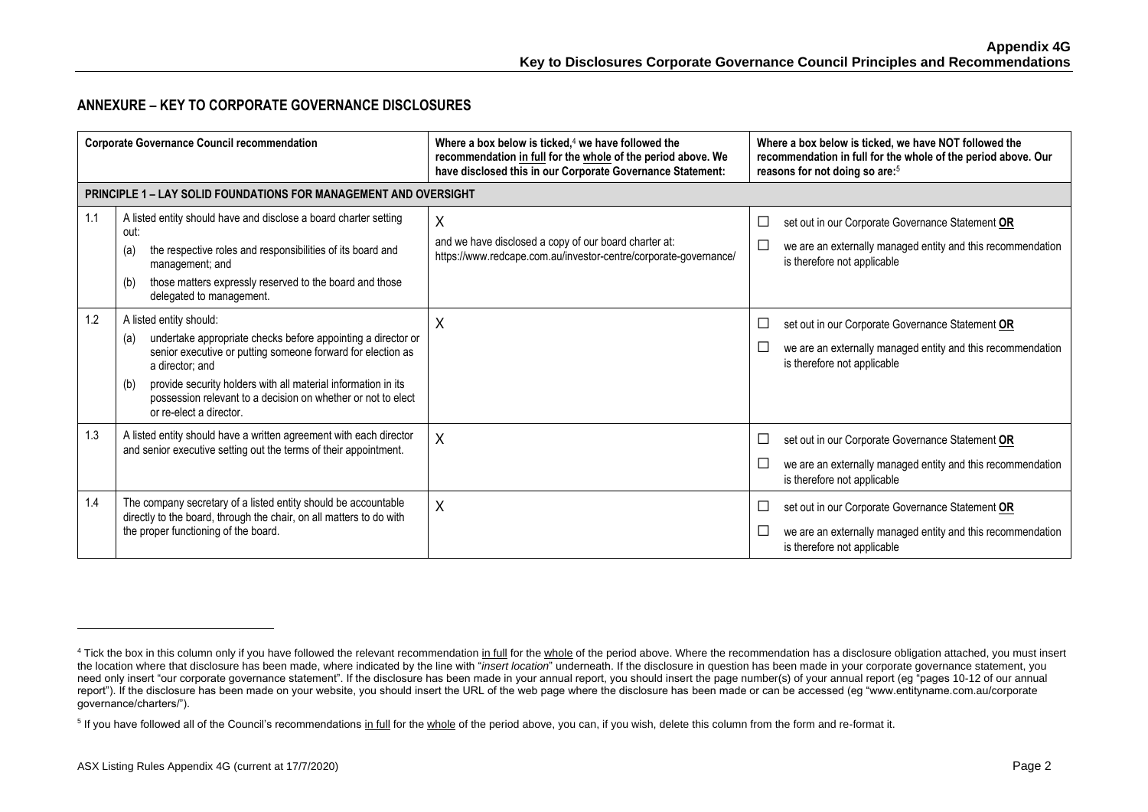## **ANNEXURE – KEY TO CORPORATE GOVERNANCE DISCLOSURES**

| <b>Corporate Governance Council recommendation</b> |                                                                                                                                                                                                                                                                                                                                                     | Where a box below is ticked, $4$ we have followed the<br>recommendation in full for the whole of the period above. We<br>have disclosed this in our Corporate Governance Statement: | Where a box below is ticked, we have NOT followed the<br>recommendation in full for the whole of the period above. Our<br>reasons for not doing so are: <sup>5</sup> |
|----------------------------------------------------|-----------------------------------------------------------------------------------------------------------------------------------------------------------------------------------------------------------------------------------------------------------------------------------------------------------------------------------------------------|-------------------------------------------------------------------------------------------------------------------------------------------------------------------------------------|----------------------------------------------------------------------------------------------------------------------------------------------------------------------|
|                                                    | <b>PRINCIPLE 1 – LAY SOLID FOUNDATIONS FOR MANAGEMENT AND OVERSIGHT</b>                                                                                                                                                                                                                                                                             |                                                                                                                                                                                     |                                                                                                                                                                      |
| 1.1                                                | A listed entity should have and disclose a board charter setting<br>out:<br>the respective roles and responsibilities of its board and<br>(a)<br>management; and<br>those matters expressly reserved to the board and those<br>(b)<br>delegated to management.                                                                                      | Χ<br>and we have disclosed a copy of our board charter at:<br>https://www.redcape.com.au/investor-centre/corporate-governance/                                                      | set out in our Corporate Governance Statement OR<br>$\Box$<br>we are an externally managed entity and this recommendation<br>is therefore not applicable             |
| 1.2                                                | A listed entity should:<br>undertake appropriate checks before appointing a director or<br>(a)<br>senior executive or putting someone forward for election as<br>a director; and<br>provide security holders with all material information in its<br>(b)<br>possession relevant to a decision on whether or not to elect<br>or re-elect a director. | Χ                                                                                                                                                                                   | set out in our Corporate Governance Statement OR<br>ப<br>we are an externally managed entity and this recommendation<br>ப<br>is therefore not applicable             |
| 1.3                                                | A listed entity should have a written agreement with each director<br>and senior executive setting out the terms of their appointment.                                                                                                                                                                                                              | $\sf X$                                                                                                                                                                             | set out in our Corporate Governance Statement OR<br>Ш<br>we are an externally managed entity and this recommendation<br>is therefore not applicable                  |
| 1.4                                                | The company secretary of a listed entity should be accountable<br>directly to the board, through the chair, on all matters to do with<br>the proper functioning of the board.                                                                                                                                                                       | X                                                                                                                                                                                   | set out in our Corporate Governance Statement OR<br>└<br>we are an externally managed entity and this recommendation<br>ப<br>is therefore not applicable             |

<sup>&</sup>lt;sup>4</sup> Tick the box in this column only if you have followed the relevant recommendation in full for the whole of the period above. Where the recommendation has a disclosure obligation attached, you must insert the location where that disclosure has been made, where indicated by the line with "*insert location*" underneath. If the disclosure in question has been made in your corporate governance statement, you need only insert "our corporate governance statement". If the disclosure has been made in your annual report, you should insert the page number(s) of your annual report (eg "pages 10-12 of our annual report"). If the disclosure has been made on your website, you should insert the URL of the web page where the disclosure has been made or can be accessed (eg "www.entityname.com.au/corporate governance/charters/").

<sup>&</sup>lt;sup>5</sup> If you have followed all of the Council's recommendations in full for the whole of the period above, you can, if you wish, delete this column from the form and re-format it.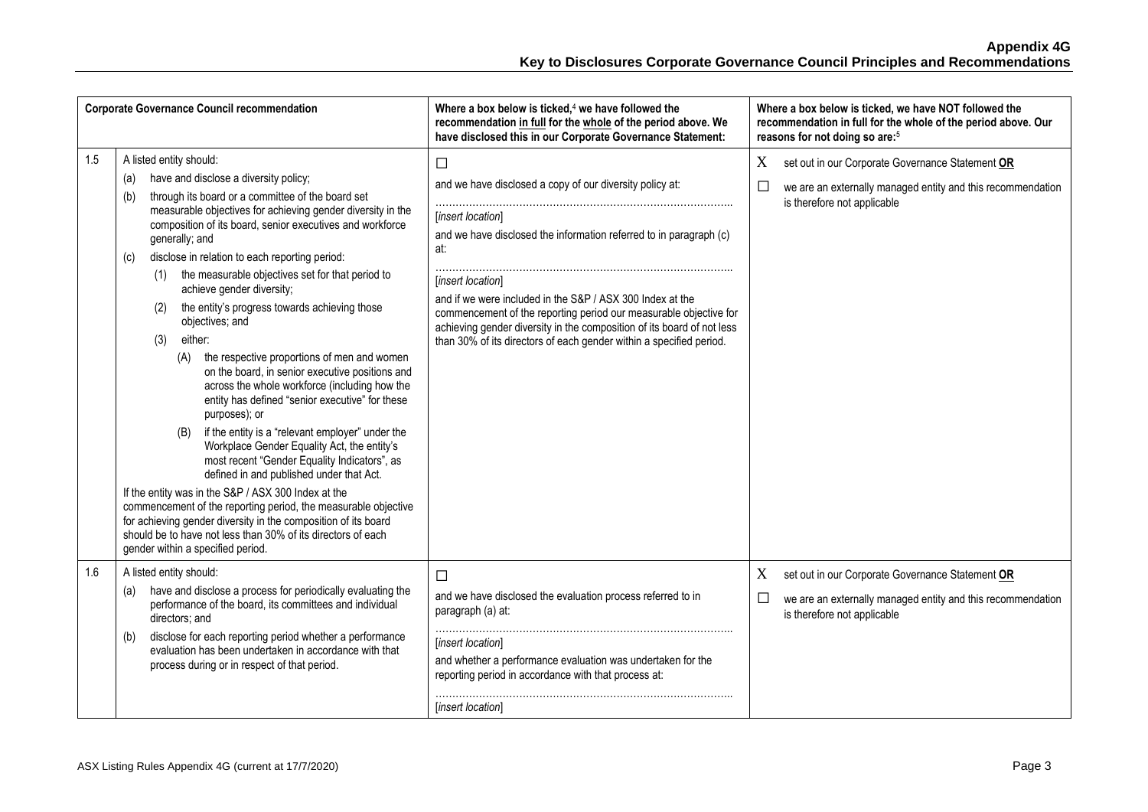| <b>Corporate Governance Council recommendation</b> |                                                                                                                                                                                                                                                                                                                                                                                                                                                                                                                                                                                                                                                                                                                                                                                                                                                                                                                                                                                                                                                                                                                                                                                                                                                                     | Where a box below is ticked, <sup>4</sup> we have followed the<br>recommendation in full for the whole of the period above. We<br>have disclosed this in our Corporate Governance Statement:                                                                                                                                                                                                                                                                                 | Where a box below is ticked, we have NOT followed the<br>recommendation in full for the whole of the period above. Our<br>reasons for not doing so are: <sup>5</sup> |
|----------------------------------------------------|---------------------------------------------------------------------------------------------------------------------------------------------------------------------------------------------------------------------------------------------------------------------------------------------------------------------------------------------------------------------------------------------------------------------------------------------------------------------------------------------------------------------------------------------------------------------------------------------------------------------------------------------------------------------------------------------------------------------------------------------------------------------------------------------------------------------------------------------------------------------------------------------------------------------------------------------------------------------------------------------------------------------------------------------------------------------------------------------------------------------------------------------------------------------------------------------------------------------------------------------------------------------|------------------------------------------------------------------------------------------------------------------------------------------------------------------------------------------------------------------------------------------------------------------------------------------------------------------------------------------------------------------------------------------------------------------------------------------------------------------------------|----------------------------------------------------------------------------------------------------------------------------------------------------------------------|
| 1.5                                                | A listed entity should:<br>have and disclose a diversity policy;<br>(a)<br>through its board or a committee of the board set<br>(b)<br>measurable objectives for achieving gender diversity in the<br>composition of its board, senior executives and workforce<br>generally; and<br>disclose in relation to each reporting period:<br>(c)<br>the measurable objectives set for that period to<br>(1)<br>achieve gender diversity;<br>the entity's progress towards achieving those<br>(2)<br>objectives; and<br>either:<br>(3)<br>the respective proportions of men and women<br>(A)<br>on the board, in senior executive positions and<br>across the whole workforce (including how the<br>entity has defined "senior executive" for these<br>purposes); or<br>if the entity is a "relevant employer" under the<br>(B)<br>Workplace Gender Equality Act, the entity's<br>most recent "Gender Equality Indicators", as<br>defined in and published under that Act.<br>If the entity was in the S&P / ASX 300 Index at the<br>commencement of the reporting period, the measurable objective<br>for achieving gender diversity in the composition of its board<br>should be to have not less than 30% of its directors of each<br>gender within a specified period. | $\Box$<br>and we have disclosed a copy of our diversity policy at:<br>[insert location]<br>and we have disclosed the information referred to in paragraph (c)<br>at:<br>[insert location]<br>and if we were included in the S&P / ASX 300 Index at the<br>commencement of the reporting period our measurable objective for<br>achieving gender diversity in the composition of its board of not less<br>than 30% of its directors of each gender within a specified period. | set out in our Corporate Governance Statement OR<br>X<br>$\Box$<br>we are an externally managed entity and this recommendation<br>is therefore not applicable        |
| 1.6                                                | A listed entity should:<br>have and disclose a process for periodically evaluating the<br>(a)<br>performance of the board, its committees and individual<br>directors; and<br>disclose for each reporting period whether a performance<br>(b)<br>evaluation has been undertaken in accordance with that<br>process during or in respect of that period.                                                                                                                                                                                                                                                                                                                                                                                                                                                                                                                                                                                                                                                                                                                                                                                                                                                                                                             | $\Box$<br>and we have disclosed the evaluation process referred to in<br>paragraph (a) at:<br>[insert location]<br>and whether a performance evaluation was undertaken for the<br>reporting period in accordance with that process at:<br>[insert location]                                                                                                                                                                                                                  | set out in our Corporate Governance Statement OR<br>X<br>we are an externally managed entity and this recommendation<br>⊔<br>is therefore not applicable             |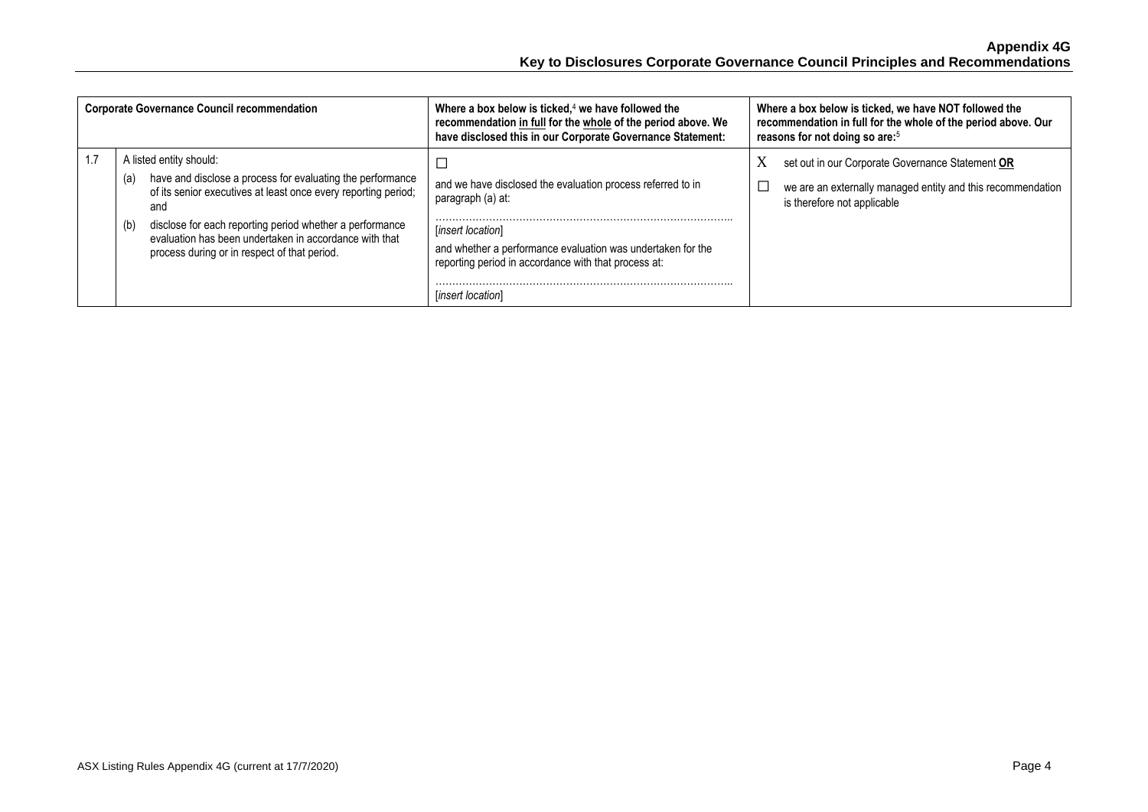| <b>Corporate Governance Council recommendation</b> |                                                                                                                                                                                                                                                                                                                                                    | Where a box below is ticked, $4$ we have followed the<br>recommendation in full for the whole of the period above. We<br>have disclosed this in our Corporate Governance Statement:                                                               | Where a box below is ticked, we have NOT followed the<br>recommendation in full for the whole of the period above. Our<br>reasons for not doing so are: <sup>5</sup> |
|----------------------------------------------------|----------------------------------------------------------------------------------------------------------------------------------------------------------------------------------------------------------------------------------------------------------------------------------------------------------------------------------------------------|---------------------------------------------------------------------------------------------------------------------------------------------------------------------------------------------------------------------------------------------------|----------------------------------------------------------------------------------------------------------------------------------------------------------------------|
|                                                    | A listed entity should:<br>have and disclose a process for evaluating the performance<br>(a)<br>of its senior executives at least once every reporting period;<br>and<br>disclose for each reporting period whether a performance<br>(b)<br>evaluation has been undertaken in accordance with that<br>process during or in respect of that period. | and we have disclosed the evaluation process referred to in<br>paragraph (a) at:<br>[insert location]<br>and whether a performance evaluation was undertaken for the<br>reporting period in accordance with that process at:<br>[insert location] | X<br>set out in our Corporate Governance Statement OR<br>we are an externally managed entity and this recommendation<br>is therefore not applicable                  |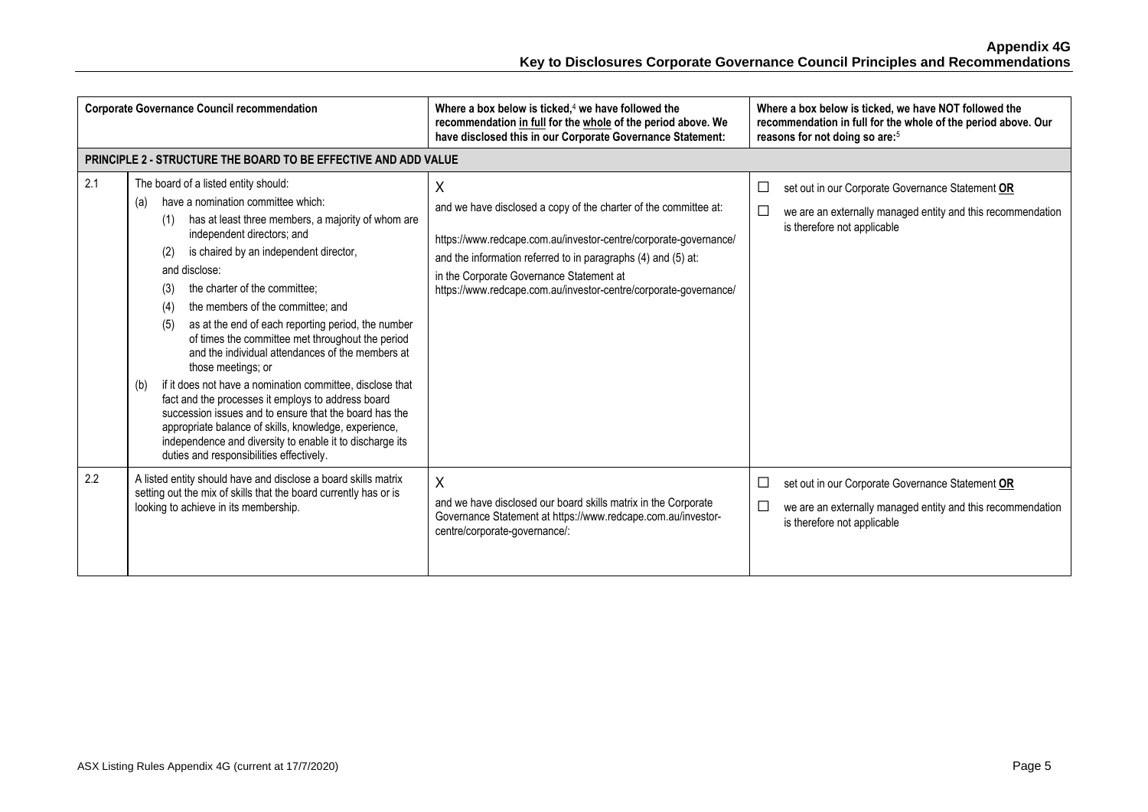|     | <b>Corporate Governance Council recommendation</b>                                                                                                                                                                                                                                                                                                                                                                                                                                                                                                                                                                                                                                                                                                                                                                                                                                 | Where a box below is ticked, $4$ we have followed the<br>recommendation in full for the whole of the period above. We<br>have disclosed this in our Corporate Governance Statement:                                                                                                                                        | Where a box below is ticked, we have NOT followed the<br>recommendation in full for the whole of the period above. Our<br>reasons for not doing so are: <sup>5</sup> |
|-----|------------------------------------------------------------------------------------------------------------------------------------------------------------------------------------------------------------------------------------------------------------------------------------------------------------------------------------------------------------------------------------------------------------------------------------------------------------------------------------------------------------------------------------------------------------------------------------------------------------------------------------------------------------------------------------------------------------------------------------------------------------------------------------------------------------------------------------------------------------------------------------|----------------------------------------------------------------------------------------------------------------------------------------------------------------------------------------------------------------------------------------------------------------------------------------------------------------------------|----------------------------------------------------------------------------------------------------------------------------------------------------------------------|
|     | <b>PRINCIPLE 2 - STRUCTURE THE BOARD TO BE EFFECTIVE AND ADD VALUE</b>                                                                                                                                                                                                                                                                                                                                                                                                                                                                                                                                                                                                                                                                                                                                                                                                             |                                                                                                                                                                                                                                                                                                                            |                                                                                                                                                                      |
| 2.1 | The board of a listed entity should:<br>have a nomination committee which:<br>(a)<br>has at least three members, a majority of whom are<br>(1)<br>independent directors; and<br>is chaired by an independent director,<br>(2)<br>and disclose:<br>the charter of the committee:<br>(3)<br>the members of the committee; and<br>(4)<br>as at the end of each reporting period, the number<br>(5)<br>of times the committee met throughout the period<br>and the individual attendances of the members at<br>those meetings; or<br>if it does not have a nomination committee, disclose that<br>(b)<br>fact and the processes it employs to address board<br>succession issues and to ensure that the board has the<br>appropriate balance of skills, knowledge, experience,<br>independence and diversity to enable it to discharge its<br>duties and responsibilities effectively. | Χ<br>and we have disclosed a copy of the charter of the committee at:<br>https://www.redcape.com.au/investor-centre/corporate-governance/<br>and the information referred to in paragraphs (4) and (5) at:<br>in the Corporate Governance Statement at<br>https://www.redcape.com.au/investor-centre/corporate-governance/ | set out in our Corporate Governance Statement OR<br>⊔<br>we are an externally managed entity and this recommendation<br>ப<br>is therefore not applicable             |
| 2.2 | A listed entity should have and disclose a board skills matrix<br>setting out the mix of skills that the board currently has or is<br>looking to achieve in its membership.                                                                                                                                                                                                                                                                                                                                                                                                                                                                                                                                                                                                                                                                                                        | X<br>and we have disclosed our board skills matrix in the Corporate<br>Governance Statement at https://www.redcape.com.au/investor-<br>centre/corporate-governance/:                                                                                                                                                       | set out in our Corporate Governance Statement OR<br>⊔<br>$\Box$<br>we are an externally managed entity and this recommendation<br>is therefore not applicable        |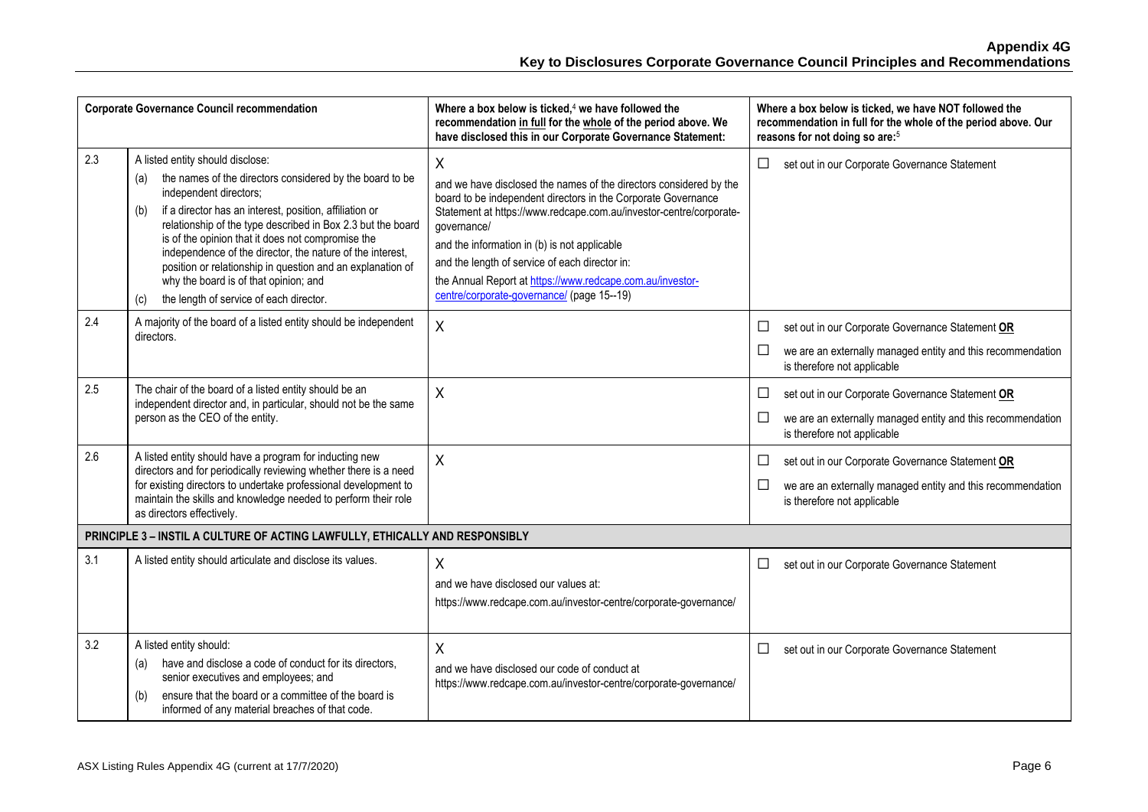| <b>Corporate Governance Council recommendation</b> |                                                                                                                                                                                                                                                                                                                                                                                                                                                                                                                                           | Where a box below is ticked, $4$ we have followed the<br>recommendation in full for the whole of the period above. We<br>have disclosed this in our Corporate Governance Statement:                                                                                                                                                                                                                                                        | Where a box below is ticked, we have NOT followed the<br>recommendation in full for the whole of the period above. Our<br>reasons for not doing so are: <sup>5</sup> |
|----------------------------------------------------|-------------------------------------------------------------------------------------------------------------------------------------------------------------------------------------------------------------------------------------------------------------------------------------------------------------------------------------------------------------------------------------------------------------------------------------------------------------------------------------------------------------------------------------------|--------------------------------------------------------------------------------------------------------------------------------------------------------------------------------------------------------------------------------------------------------------------------------------------------------------------------------------------------------------------------------------------------------------------------------------------|----------------------------------------------------------------------------------------------------------------------------------------------------------------------|
| 2.3                                                | A listed entity should disclose:<br>the names of the directors considered by the board to be<br>(a)<br>independent directors;<br>if a director has an interest, position, affiliation or<br>(b)<br>relationship of the type described in Box 2.3 but the board<br>is of the opinion that it does not compromise the<br>independence of the director, the nature of the interest,<br>position or relationship in question and an explanation of<br>why the board is of that opinion; and<br>the length of service of each director.<br>(c) | X<br>and we have disclosed the names of the directors considered by the<br>board to be independent directors in the Corporate Governance<br>Statement at https://www.redcape.com.au/investor-centre/corporate-<br>governance/<br>and the information in (b) is not applicable<br>and the length of service of each director in:<br>the Annual Report at https://www.redcape.com.au/investor-<br>centre/corporate-governance/ (page 15--19) | set out in our Corporate Governance Statement<br>$\Box$                                                                                                              |
| 2.4                                                | A majority of the board of a listed entity should be independent<br>directors.                                                                                                                                                                                                                                                                                                                                                                                                                                                            | X                                                                                                                                                                                                                                                                                                                                                                                                                                          | set out in our Corporate Governance Statement OR<br>$\Box$<br>$\Box$<br>we are an externally managed entity and this recommendation<br>is therefore not applicable   |
| 2.5                                                | The chair of the board of a listed entity should be an<br>independent director and, in particular, should not be the same<br>person as the CEO of the entity.                                                                                                                                                                                                                                                                                                                                                                             | X                                                                                                                                                                                                                                                                                                                                                                                                                                          | set out in our Corporate Governance Statement OR<br>$\Box$<br>□<br>we are an externally managed entity and this recommendation<br>is therefore not applicable        |
| 2.6                                                | A listed entity should have a program for inducting new<br>directors and for periodically reviewing whether there is a need<br>for existing directors to undertake professional development to<br>maintain the skills and knowledge needed to perform their role<br>as directors effectively.                                                                                                                                                                                                                                             | X                                                                                                                                                                                                                                                                                                                                                                                                                                          | set out in our Corporate Governance Statement OR<br>□<br>□<br>we are an externally managed entity and this recommendation<br>is therefore not applicable             |
|                                                    | PRINCIPLE 3 - INSTIL A CULTURE OF ACTING LAWFULLY, ETHICALLY AND RESPONSIBLY                                                                                                                                                                                                                                                                                                                                                                                                                                                              |                                                                                                                                                                                                                                                                                                                                                                                                                                            |                                                                                                                                                                      |
| 3.1                                                | A listed entity should articulate and disclose its values.                                                                                                                                                                                                                                                                                                                                                                                                                                                                                | X<br>and we have disclosed our values at:<br>https://www.redcape.com.au/investor-centre/corporate-governance/                                                                                                                                                                                                                                                                                                                              | set out in our Corporate Governance Statement<br>⊔                                                                                                                   |
| 3.2                                                | A listed entity should:<br>have and disclose a code of conduct for its directors,<br>(a)<br>senior executives and employees; and<br>ensure that the board or a committee of the board is<br>(b)<br>informed of any material breaches of that code.                                                                                                                                                                                                                                                                                        | X<br>and we have disclosed our code of conduct at<br>https://www.redcape.com.au/investor-centre/corporate-governance/                                                                                                                                                                                                                                                                                                                      | set out in our Corporate Governance Statement<br>ப                                                                                                                   |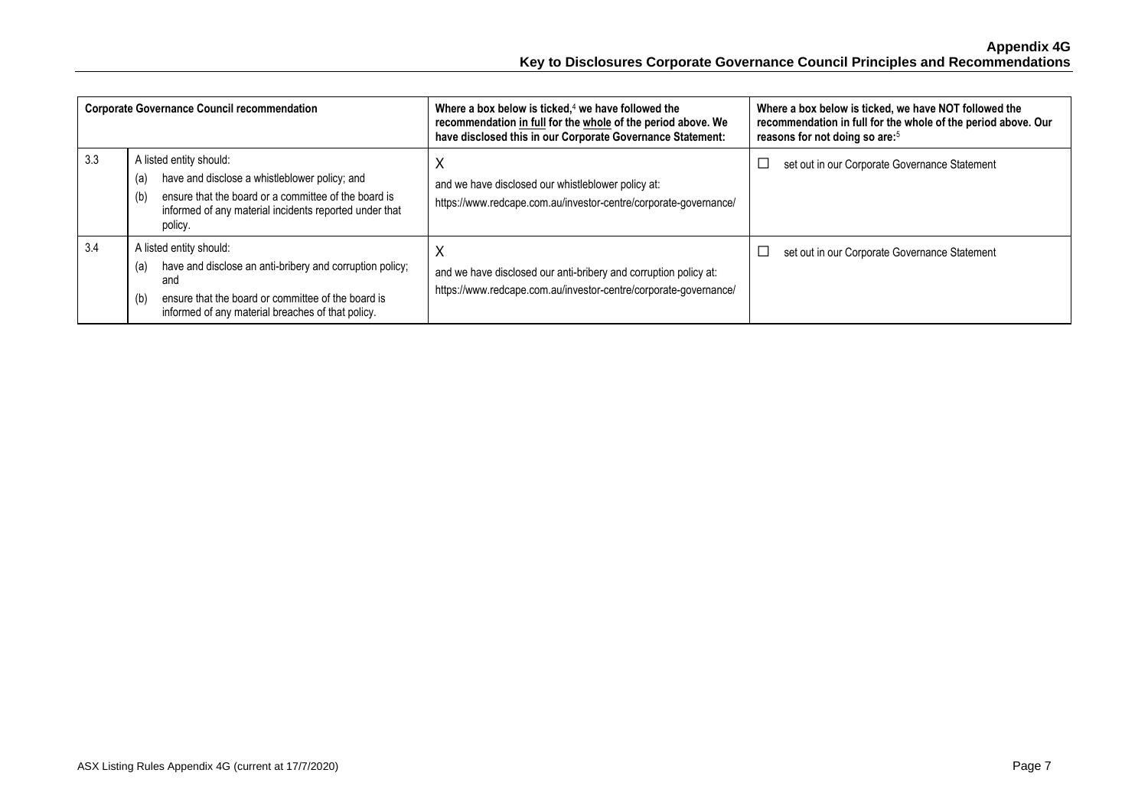| <b>Corporate Governance Council recommendation</b> |                                                                                                                                                                                                                     | Where a box below is ticked, $4$ we have followed the<br>recommendation in full for the whole of the period above. We<br>have disclosed this in our Corporate Governance Statement: | Where a box below is ticked, we have NOT followed the<br>recommendation in full for the whole of the period above. Our<br>reasons for not doing so are: <sup>5</sup> |
|----------------------------------------------------|---------------------------------------------------------------------------------------------------------------------------------------------------------------------------------------------------------------------|-------------------------------------------------------------------------------------------------------------------------------------------------------------------------------------|----------------------------------------------------------------------------------------------------------------------------------------------------------------------|
| 3.3                                                | A listed entity should:<br>have and disclose a whistleblower policy; and<br>(a)<br>ensure that the board or a committee of the board is<br>(b)<br>informed of any material incidents reported under that<br>policy. | X<br>and we have disclosed our whistleblower policy at:<br>https://www.redcape.com.au/investor-centre/corporate-governance/                                                         | set out in our Corporate Governance Statement                                                                                                                        |
| 3.4                                                | A listed entity should:<br>have and disclose an anti-bribery and corruption policy;<br>(a)<br>and<br>ensure that the board or committee of the board is<br>(b)<br>informed of any material breaches of that policy. | X<br>and we have disclosed our anti-bribery and corruption policy at:<br>https://www.redcape.com.au/investor-centre/corporate-governance/                                           | set out in our Corporate Governance Statement                                                                                                                        |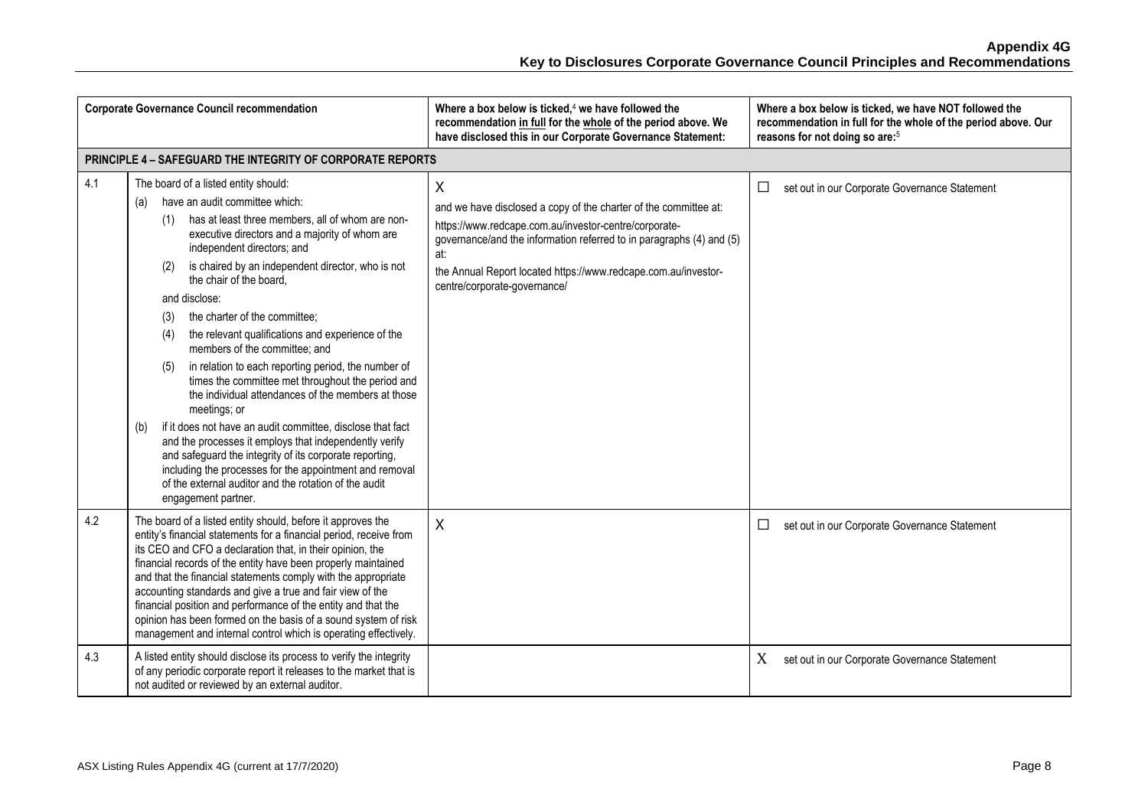|     | <b>Corporate Governance Council recommendation</b>                                                                                                                                                                                                                                                                                                                                                                                                                                                                                                                                                                                                                                                                                                                                                                                                                                                                                                                                                  | Where a box below is ticked, $4$ we have followed the<br>recommendation in full for the whole of the period above. We<br>have disclosed this in our Corporate Governance Statement:                                                                                                                             | Where a box below is ticked, we have NOT followed the<br>recommendation in full for the whole of the period above. Our<br>reasons for not doing so are: <sup>5</sup> |
|-----|-----------------------------------------------------------------------------------------------------------------------------------------------------------------------------------------------------------------------------------------------------------------------------------------------------------------------------------------------------------------------------------------------------------------------------------------------------------------------------------------------------------------------------------------------------------------------------------------------------------------------------------------------------------------------------------------------------------------------------------------------------------------------------------------------------------------------------------------------------------------------------------------------------------------------------------------------------------------------------------------------------|-----------------------------------------------------------------------------------------------------------------------------------------------------------------------------------------------------------------------------------------------------------------------------------------------------------------|----------------------------------------------------------------------------------------------------------------------------------------------------------------------|
|     | <b>PRINCIPLE 4 - SAFEGUARD THE INTEGRITY OF CORPORATE REPORTS</b>                                                                                                                                                                                                                                                                                                                                                                                                                                                                                                                                                                                                                                                                                                                                                                                                                                                                                                                                   |                                                                                                                                                                                                                                                                                                                 |                                                                                                                                                                      |
| 4.1 | The board of a listed entity should:<br>have an audit committee which:<br>(a)<br>has at least three members, all of whom are non-<br>(1)<br>executive directors and a majority of whom are<br>independent directors; and<br>is chaired by an independent director, who is not<br>(2)<br>the chair of the board.<br>and disclose:<br>the charter of the committee:<br>(3)<br>the relevant qualifications and experience of the<br>(4)<br>members of the committee; and<br>in relation to each reporting period, the number of<br>(5)<br>times the committee met throughout the period and<br>the individual attendances of the members at those<br>meetings; or<br>if it does not have an audit committee, disclose that fact<br>(b)<br>and the processes it employs that independently verify<br>and safeguard the integrity of its corporate reporting,<br>including the processes for the appointment and removal<br>of the external auditor and the rotation of the audit<br>engagement partner. | X<br>and we have disclosed a copy of the charter of the committee at:<br>https://www.redcape.com.au/investor-centre/corporate-<br>governance/and the information referred to in paragraphs (4) and (5)<br>at:<br>the Annual Report located https://www.redcape.com.au/investor-<br>centre/corporate-governance/ | set out in our Corporate Governance Statement<br>$\Box$                                                                                                              |
| 4.2 | The board of a listed entity should, before it approves the<br>entity's financial statements for a financial period, receive from<br>its CEO and CFO a declaration that, in their opinion, the<br>financial records of the entity have been properly maintained<br>and that the financial statements comply with the appropriate<br>accounting standards and give a true and fair view of the<br>financial position and performance of the entity and that the<br>opinion has been formed on the basis of a sound system of risk<br>management and internal control which is operating effectively.                                                                                                                                                                                                                                                                                                                                                                                                 | $\sf X$                                                                                                                                                                                                                                                                                                         | set out in our Corporate Governance Statement<br>□                                                                                                                   |
| 4.3 | A listed entity should disclose its process to verify the integrity<br>of any periodic corporate report it releases to the market that is<br>not audited or reviewed by an external auditor.                                                                                                                                                                                                                                                                                                                                                                                                                                                                                                                                                                                                                                                                                                                                                                                                        |                                                                                                                                                                                                                                                                                                                 | X<br>set out in our Corporate Governance Statement                                                                                                                   |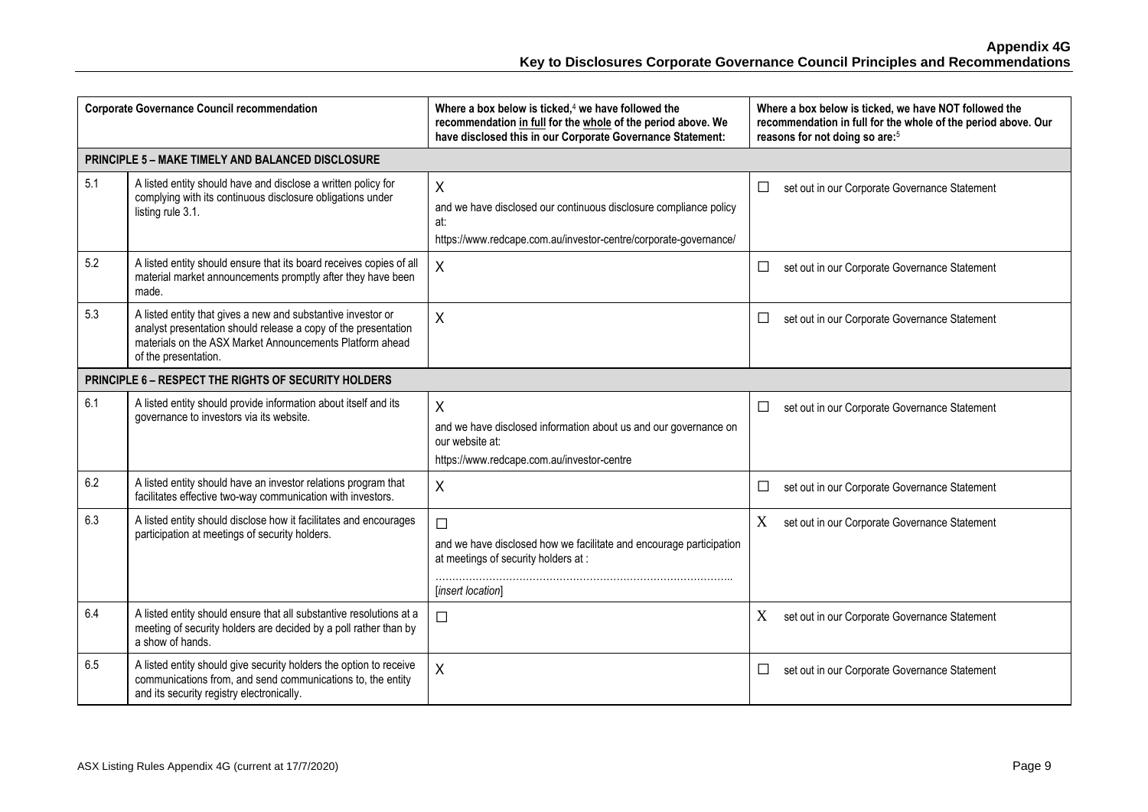| <b>Corporate Governance Council recommendation</b> |                                                                                                                                                                                                                    | Where a box below is ticked, <sup>4</sup> we have followed the<br>recommendation in full for the whole of the period above. We<br>have disclosed this in our Corporate Governance Statement: | Where a box below is ticked, we have NOT followed the<br>recommendation in full for the whole of the period above. Our<br>reasons for not doing so are: <sup>5</sup> |
|----------------------------------------------------|--------------------------------------------------------------------------------------------------------------------------------------------------------------------------------------------------------------------|----------------------------------------------------------------------------------------------------------------------------------------------------------------------------------------------|----------------------------------------------------------------------------------------------------------------------------------------------------------------------|
|                                                    | <b>PRINCIPLE 5 - MAKE TIMELY AND BALANCED DISCLOSURE</b>                                                                                                                                                           |                                                                                                                                                                                              |                                                                                                                                                                      |
| 5.1                                                | A listed entity should have and disclose a written policy for<br>complying with its continuous disclosure obligations under<br>listing rule 3.1.                                                                   | X<br>and we have disclosed our continuous disclosure compliance policy<br>at:<br>https://www.redcape.com.au/investor-centre/corporate-governance/                                            | □<br>set out in our Corporate Governance Statement                                                                                                                   |
| 5.2                                                | A listed entity should ensure that its board receives copies of all<br>material market announcements promptly after they have been<br>made.                                                                        | $\sf X$                                                                                                                                                                                      | □<br>set out in our Corporate Governance Statement                                                                                                                   |
| 5.3                                                | A listed entity that gives a new and substantive investor or<br>analyst presentation should release a copy of the presentation<br>materials on the ASX Market Announcements Platform ahead<br>of the presentation. | X                                                                                                                                                                                            | $\Box$<br>set out in our Corporate Governance Statement                                                                                                              |
|                                                    | PRINCIPLE 6 - RESPECT THE RIGHTS OF SECURITY HOLDERS                                                                                                                                                               |                                                                                                                                                                                              |                                                                                                                                                                      |
| 6.1                                                | A listed entity should provide information about itself and its<br>governance to investors via its website.                                                                                                        | $\sf X$<br>and we have disclosed information about us and our governance on<br>our website at:<br>https://www.redcape.com.au/investor-centre                                                 | set out in our Corporate Governance Statement<br>$\Box$                                                                                                              |
| 6.2                                                | A listed entity should have an investor relations program that<br>facilitates effective two-way communication with investors.                                                                                      | $\sf X$                                                                                                                                                                                      | □<br>set out in our Corporate Governance Statement                                                                                                                   |
| 6.3                                                | A listed entity should disclose how it facilitates and encourages<br>participation at meetings of security holders.                                                                                                | $\Box$<br>and we have disclosed how we facilitate and encourage participation<br>at meetings of security holders at :<br>[insert location]                                                   | X<br>set out in our Corporate Governance Statement                                                                                                                   |
| 6.4                                                | A listed entity should ensure that all substantive resolutions at a<br>meeting of security holders are decided by a poll rather than by<br>a show of hands.                                                        | $\Box$                                                                                                                                                                                       | X<br>set out in our Corporate Governance Statement                                                                                                                   |
| 6.5                                                | A listed entity should give security holders the option to receive<br>communications from, and send communications to, the entity<br>and its security registry electronically.                                     | X                                                                                                                                                                                            | □<br>set out in our Corporate Governance Statement                                                                                                                   |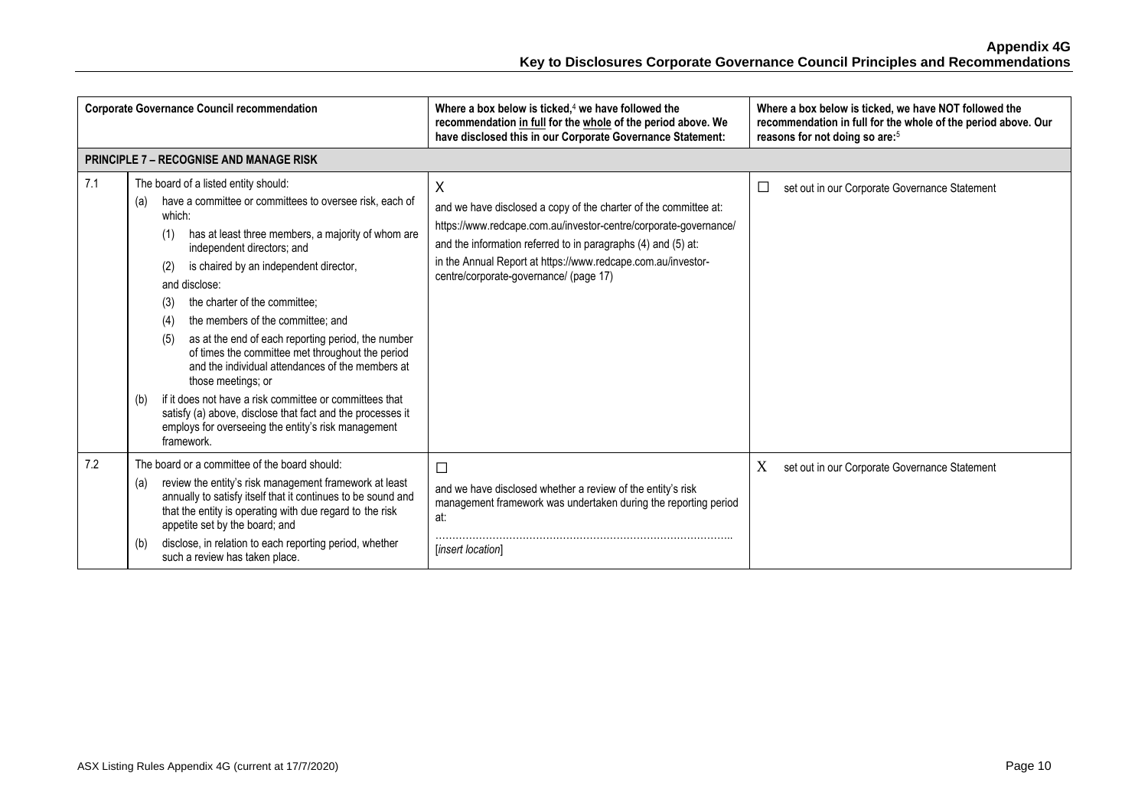| <b>Corporate Governance Council recommendation</b> |                                                                                                                                                                                                                                                                                                                                                                                                                                                                                                                                                                                                                                                                                                                                                                   | Where a box below is ticked. $4$ we have followed the<br>recommendation in full for the whole of the period above. We<br>have disclosed this in our Corporate Governance Statement:                                                                                                                                  | Where a box below is ticked, we have NOT followed the<br>recommendation in full for the whole of the period above. Our<br>reasons for not doing so are: <sup>5</sup> |
|----------------------------------------------------|-------------------------------------------------------------------------------------------------------------------------------------------------------------------------------------------------------------------------------------------------------------------------------------------------------------------------------------------------------------------------------------------------------------------------------------------------------------------------------------------------------------------------------------------------------------------------------------------------------------------------------------------------------------------------------------------------------------------------------------------------------------------|----------------------------------------------------------------------------------------------------------------------------------------------------------------------------------------------------------------------------------------------------------------------------------------------------------------------|----------------------------------------------------------------------------------------------------------------------------------------------------------------------|
|                                                    | <b>PRINCIPLE 7 - RECOGNISE AND MANAGE RISK</b>                                                                                                                                                                                                                                                                                                                                                                                                                                                                                                                                                                                                                                                                                                                    |                                                                                                                                                                                                                                                                                                                      |                                                                                                                                                                      |
| 7.1                                                | The board of a listed entity should:<br>have a committee or committees to oversee risk, each of<br>(a)<br>which:<br>has at least three members, a majority of whom are<br>(1)<br>independent directors; and<br>is chaired by an independent director,<br>(2)<br>and disclose:<br>the charter of the committee;<br>(3)<br>the members of the committee; and<br>(4)<br>as at the end of each reporting period, the number<br>(5)<br>of times the committee met throughout the period<br>and the individual attendances of the members at<br>those meetings; or<br>if it does not have a risk committee or committees that<br>(b)<br>satisfy (a) above, disclose that fact and the processes it<br>employs for overseeing the entity's risk management<br>framework. | X<br>and we have disclosed a copy of the charter of the committee at:<br>https://www.redcape.com.au/investor-centre/corporate-governance/<br>and the information referred to in paragraphs (4) and (5) at:<br>in the Annual Report at https://www.redcape.com.au/investor-<br>centre/corporate-governance/ (page 17) | set out in our Corporate Governance Statement<br>ப                                                                                                                   |
| 7.2                                                | The board or a committee of the board should:<br>review the entity's risk management framework at least<br>(a)<br>annually to satisfy itself that it continues to be sound and<br>that the entity is operating with due regard to the risk<br>appetite set by the board; and<br>disclose, in relation to each reporting period, whether<br>(b)<br>such a review has taken place.                                                                                                                                                                                                                                                                                                                                                                                  | $\Box$<br>and we have disclosed whether a review of the entity's risk<br>management framework was undertaken during the reporting period<br>at:<br>[insert location]                                                                                                                                                 | X<br>set out in our Corporate Governance Statement                                                                                                                   |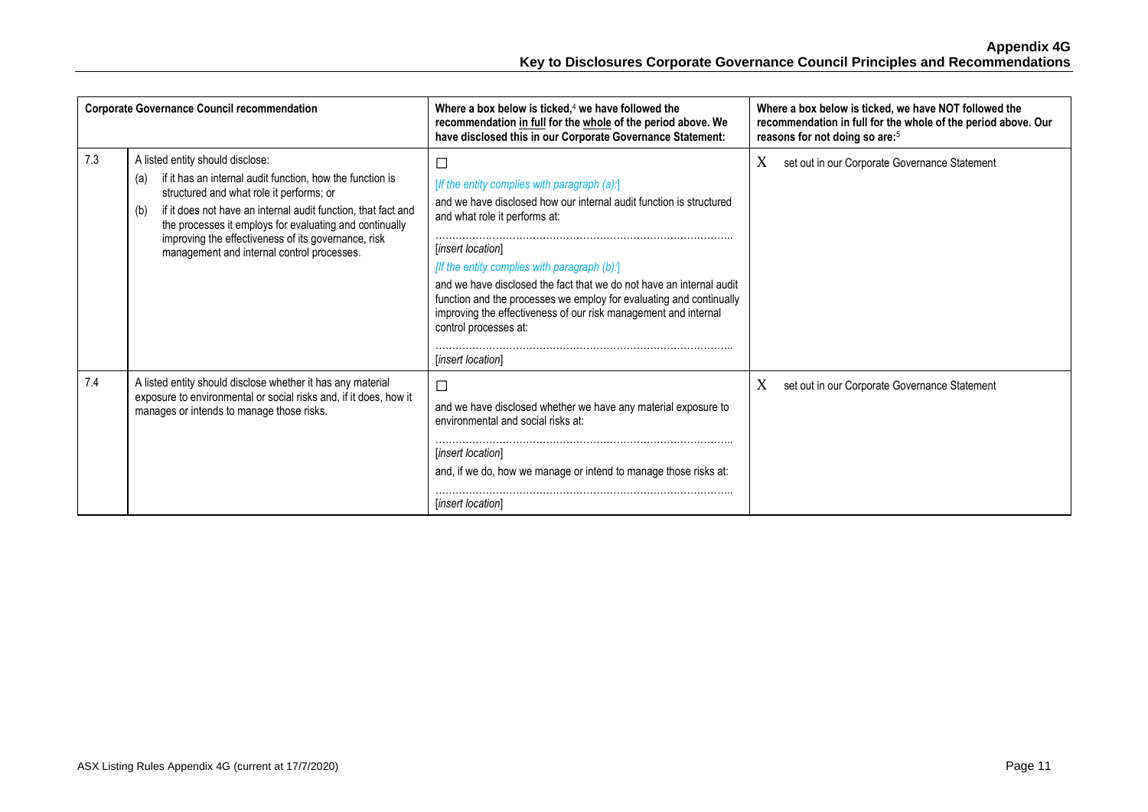| <b>Corporate Governance Council recommendation</b> |                                                                                                                                                                                                                                                                                                                                                                                          | Where a box below is ticked, $4$ we have followed the<br>recommendation in full for the whole of the period above. We<br>have disclosed this in our Corporate Governance Statement:                                                                                                                                                                                                                                                                                                                      | Where a box below is ticked, we have NOT followed the<br>recommendation in full for the whole of the period above. Our<br>reasons for not doing so are: <sup>5</sup> |
|----------------------------------------------------|------------------------------------------------------------------------------------------------------------------------------------------------------------------------------------------------------------------------------------------------------------------------------------------------------------------------------------------------------------------------------------------|----------------------------------------------------------------------------------------------------------------------------------------------------------------------------------------------------------------------------------------------------------------------------------------------------------------------------------------------------------------------------------------------------------------------------------------------------------------------------------------------------------|----------------------------------------------------------------------------------------------------------------------------------------------------------------------|
| 7.3                                                | A listed entity should disclose:<br>if it has an internal audit function, how the function is<br>(a)<br>structured and what role it performs; or<br>if it does not have an internal audit function, that fact and<br>(b)<br>the processes it employs for evaluating and continually<br>improving the effectiveness of its governance, risk<br>management and internal control processes. | □<br>[If the entity complies with paragraph (a):]<br>and we have disclosed how our internal audit function is structured<br>and what role it performs at:<br><i>linsert locationl</i><br>[If the entity complies with paragraph $(b)$ :]<br>and we have disclosed the fact that we do not have an internal audit<br>function and the processes we employ for evaluating and continually<br>improving the effectiveness of our risk management and internal<br>control processes at:<br>[insert location] | X<br>set out in our Corporate Governance Statement                                                                                                                   |
| 7.4                                                | A listed entity should disclose whether it has any material<br>exposure to environmental or social risks and, if it does, how it<br>manages or intends to manage those risks.                                                                                                                                                                                                            | □<br>and we have disclosed whether we have any material exposure to<br>environmental and social risks at:<br><i>linsert locationl</i><br>and, if we do, how we manage or intend to manage those risks at:<br>[insert location]                                                                                                                                                                                                                                                                           | X<br>set out in our Corporate Governance Statement                                                                                                                   |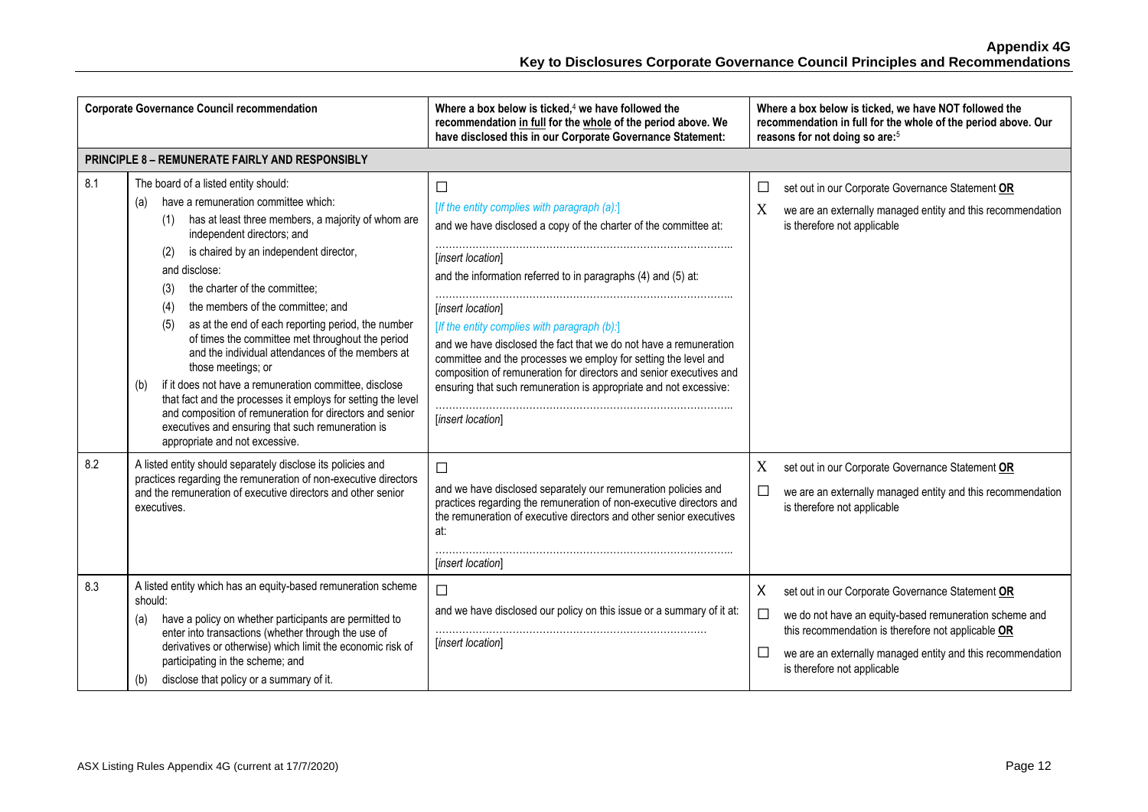| <b>Corporate Governance Council recommendation</b> |                                                                                                                                                                                                                                                                                                                                                                                                                                                                                                                                                                                                                                                                                                                                                                                                                     | Where a box below is ticked, $4$ we have followed the<br>recommendation in full for the whole of the period above. We<br>have disclosed this in our Corporate Governance Statement:                                                                                                                                                                                                                                                                                                                                                                                                            | Where a box below is ticked, we have NOT followed the<br>recommendation in full for the whole of the period above. Our<br>reasons for not doing so are: <sup>5</sup>                                                                                                                    |
|----------------------------------------------------|---------------------------------------------------------------------------------------------------------------------------------------------------------------------------------------------------------------------------------------------------------------------------------------------------------------------------------------------------------------------------------------------------------------------------------------------------------------------------------------------------------------------------------------------------------------------------------------------------------------------------------------------------------------------------------------------------------------------------------------------------------------------------------------------------------------------|------------------------------------------------------------------------------------------------------------------------------------------------------------------------------------------------------------------------------------------------------------------------------------------------------------------------------------------------------------------------------------------------------------------------------------------------------------------------------------------------------------------------------------------------------------------------------------------------|-----------------------------------------------------------------------------------------------------------------------------------------------------------------------------------------------------------------------------------------------------------------------------------------|
|                                                    | <b>PRINCIPLE 8 - REMUNERATE FAIRLY AND RESPONSIBLY</b>                                                                                                                                                                                                                                                                                                                                                                                                                                                                                                                                                                                                                                                                                                                                                              |                                                                                                                                                                                                                                                                                                                                                                                                                                                                                                                                                                                                |                                                                                                                                                                                                                                                                                         |
| 8.1                                                | The board of a listed entity should:<br>have a remuneration committee which:<br>(a)<br>has at least three members, a majority of whom are<br>(1)<br>independent directors; and<br>is chaired by an independent director,<br>(2)<br>and disclose:<br>the charter of the committee;<br>(3)<br>the members of the committee; and<br>(4)<br>as at the end of each reporting period, the number<br>(5)<br>of times the committee met throughout the period<br>and the individual attendances of the members at<br>those meetings; or<br>if it does not have a remuneration committee, disclose<br>(b)<br>that fact and the processes it employs for setting the level<br>and composition of remuneration for directors and senior<br>executives and ensuring that such remuneration is<br>appropriate and not excessive. | $\Box$<br>[If the entity complies with paragraph (a):]<br>and we have disclosed a copy of the charter of the committee at:<br>[insert location]<br>and the information referred to in paragraphs (4) and (5) at:<br>[insert location]<br>[If the entity complies with paragraph (b):]<br>and we have disclosed the fact that we do not have a remuneration<br>committee and the processes we employ for setting the level and<br>composition of remuneration for directors and senior executives and<br>ensuring that such remuneration is appropriate and not excessive:<br>[insert location] | set out in our Corporate Governance Statement OR<br>$\Box$<br>X<br>we are an externally managed entity and this recommendation<br>is therefore not applicable                                                                                                                           |
| 8.2                                                | A listed entity should separately disclose its policies and<br>practices regarding the remuneration of non-executive directors<br>and the remuneration of executive directors and other senior<br>executives.                                                                                                                                                                                                                                                                                                                                                                                                                                                                                                                                                                                                       | $\Box$<br>and we have disclosed separately our remuneration policies and<br>practices regarding the remuneration of non-executive directors and<br>the remuneration of executive directors and other senior executives<br>at:<br>[insert location]                                                                                                                                                                                                                                                                                                                                             | X<br>set out in our Corporate Governance Statement OR<br>$\Box$<br>we are an externally managed entity and this recommendation<br>is therefore not applicable                                                                                                                           |
| 8.3                                                | A listed entity which has an equity-based remuneration scheme<br>should:<br>have a policy on whether participants are permitted to<br>(a)<br>enter into transactions (whether through the use of<br>derivatives or otherwise) which limit the economic risk of<br>participating in the scheme; and<br>disclose that policy or a summary of it.<br>(b)                                                                                                                                                                                                                                                                                                                                                                                                                                                               | $\Box$<br>and we have disclosed our policy on this issue or a summary of it at:<br>[insert location]                                                                                                                                                                                                                                                                                                                                                                                                                                                                                           | X<br>set out in our Corporate Governance Statement OR<br>$\Box$<br>we do not have an equity-based remuneration scheme and<br>this recommendation is therefore not applicable OR<br>$\Box$<br>we are an externally managed entity and this recommendation<br>is therefore not applicable |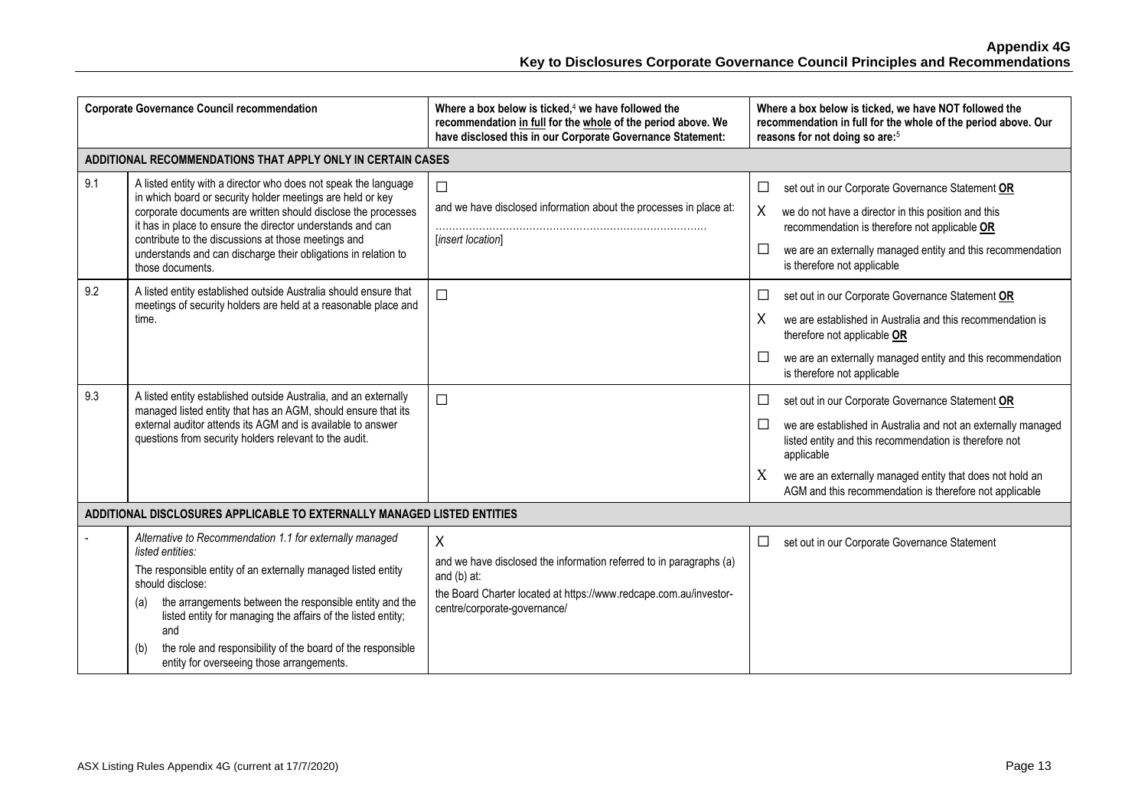| <b>Corporate Governance Council recommendation</b> |                                                                                                                                                                                                                                                                                                                                                                                                                               | Where a box below is ticked, $4$ we have followed the<br>recommendation in full for the whole of the period above. We<br>have disclosed this in our Corporate Governance Statement:            | Where a box below is ticked, we have NOT followed the<br>recommendation in full for the whole of the period above. Our<br>reasons for not doing so are: <sup>5</sup>                                                                                                                                                                  |
|----------------------------------------------------|-------------------------------------------------------------------------------------------------------------------------------------------------------------------------------------------------------------------------------------------------------------------------------------------------------------------------------------------------------------------------------------------------------------------------------|------------------------------------------------------------------------------------------------------------------------------------------------------------------------------------------------|---------------------------------------------------------------------------------------------------------------------------------------------------------------------------------------------------------------------------------------------------------------------------------------------------------------------------------------|
|                                                    | ADDITIONAL RECOMMENDATIONS THAT APPLY ONLY IN CERTAIN CASES                                                                                                                                                                                                                                                                                                                                                                   |                                                                                                                                                                                                |                                                                                                                                                                                                                                                                                                                                       |
| 9.1                                                | A listed entity with a director who does not speak the language<br>in which board or security holder meetings are held or key<br>corporate documents are written should disclose the processes<br>it has in place to ensure the director understands and can<br>contribute to the discussions at those meetings and<br>understands and can discharge their obligations in relation to<br>those documents.                     | $\Box$<br>and we have disclosed information about the processes in place at:<br>[insert location]                                                                                              | □<br>set out in our Corporate Governance Statement OR<br>X<br>we do not have a director in this position and this<br>recommendation is therefore not applicable OR<br>□<br>we are an externally managed entity and this recommendation<br>is therefore not applicable                                                                 |
| 9.2                                                | A listed entity established outside Australia should ensure that<br>meetings of security holders are held at a reasonable place and<br>time.                                                                                                                                                                                                                                                                                  | $\Box$                                                                                                                                                                                         | set out in our Corporate Governance Statement OR<br>□<br>X<br>we are established in Australia and this recommendation is<br>therefore not applicable OR<br>$\Box$<br>we are an externally managed entity and this recommendation<br>is therefore not applicable                                                                       |
| 9.3                                                | A listed entity established outside Australia, and an externally<br>managed listed entity that has an AGM, should ensure that its<br>external auditor attends its AGM and is available to answer<br>questions from security holders relevant to the audit.                                                                                                                                                                    | $\Box$                                                                                                                                                                                         | set out in our Corporate Governance Statement OR<br>□<br>$\Box$<br>we are established in Australia and not an externally managed<br>listed entity and this recommendation is therefore not<br>applicable<br>X<br>we are an externally managed entity that does not hold an<br>AGM and this recommendation is therefore not applicable |
|                                                    | ADDITIONAL DISCLOSURES APPLICABLE TO EXTERNALLY MANAGED LISTED ENTITIES                                                                                                                                                                                                                                                                                                                                                       |                                                                                                                                                                                                |                                                                                                                                                                                                                                                                                                                                       |
|                                                    | Alternative to Recommendation 1.1 for externally managed<br>listed entities:<br>The responsible entity of an externally managed listed entity<br>should disclose:<br>the arrangements between the responsible entity and the<br>(a)<br>listed entity for managing the affairs of the listed entity;<br>and<br>the role and responsibility of the board of the responsible<br>(b)<br>entity for overseeing those arrangements. | X<br>and we have disclosed the information referred to in paragraphs (a)<br>and $(b)$ at:<br>the Board Charter located at https://www.redcape.com.au/investor-<br>centre/corporate-governance/ | □<br>set out in our Corporate Governance Statement                                                                                                                                                                                                                                                                                    |